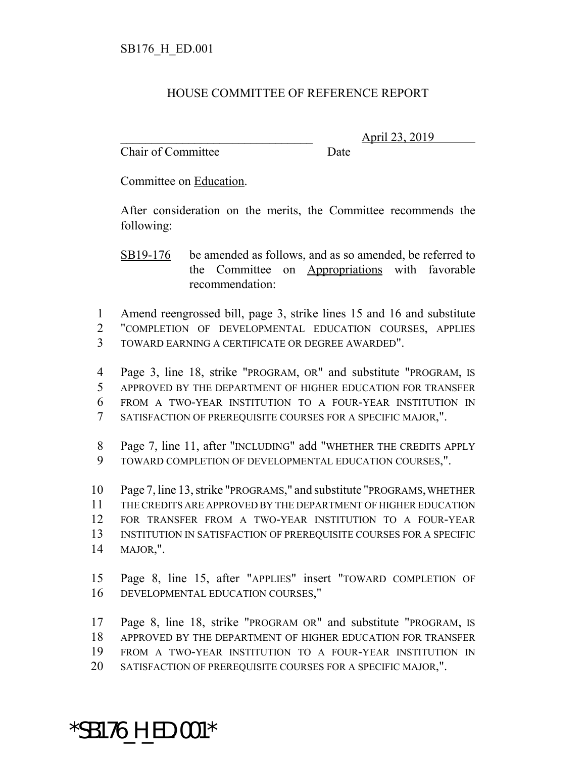## HOUSE COMMITTEE OF REFERENCE REPORT

Chair of Committee Date

\_\_\_\_\_\_\_\_\_\_\_\_\_\_\_\_\_\_\_\_\_\_\_\_\_\_\_\_\_\_\_ April 23, 2019

Committee on Education.

After consideration on the merits, the Committee recommends the following:

SB19-176 be amended as follows, and as so amended, be referred to the Committee on Appropriations with favorable recommendation:

 Amend reengrossed bill, page 3, strike lines 15 and 16 and substitute "COMPLETION OF DEVELOPMENTAL EDUCATION COURSES, APPLIES TOWARD EARNING A CERTIFICATE OR DEGREE AWARDED".

 Page 3, line 18, strike "PROGRAM, OR" and substitute "PROGRAM, IS APPROVED BY THE DEPARTMENT OF HIGHER EDUCATION FOR TRANSFER FROM A TWO-YEAR INSTITUTION TO A FOUR-YEAR INSTITUTION IN SATISFACTION OF PREREQUISITE COURSES FOR A SPECIFIC MAJOR,".

 Page 7, line 11, after "INCLUDING" add "WHETHER THE CREDITS APPLY TOWARD COMPLETION OF DEVELOPMENTAL EDUCATION COURSES,".

 Page 7, line 13, strike "PROGRAMS," and substitute "PROGRAMS, WHETHER THE CREDITS ARE APPROVED BY THE DEPARTMENT OF HIGHER EDUCATION FOR TRANSFER FROM A TWO-YEAR INSTITUTION TO A FOUR-YEAR INSTITUTION IN SATISFACTION OF PREREQUISITE COURSES FOR A SPECIFIC MAJOR,".

 Page 8, line 15, after "APPLIES" insert "TOWARD COMPLETION OF DEVELOPMENTAL EDUCATION COURSES,"

 Page 8, line 18, strike "PROGRAM OR" and substitute "PROGRAM, IS APPROVED BY THE DEPARTMENT OF HIGHER EDUCATION FOR TRANSFER FROM A TWO-YEAR INSTITUTION TO A FOUR-YEAR INSTITUTION IN SATISFACTION OF PREREQUISITE COURSES FOR A SPECIFIC MAJOR,".

## \*SB176\_H\_ED.001\*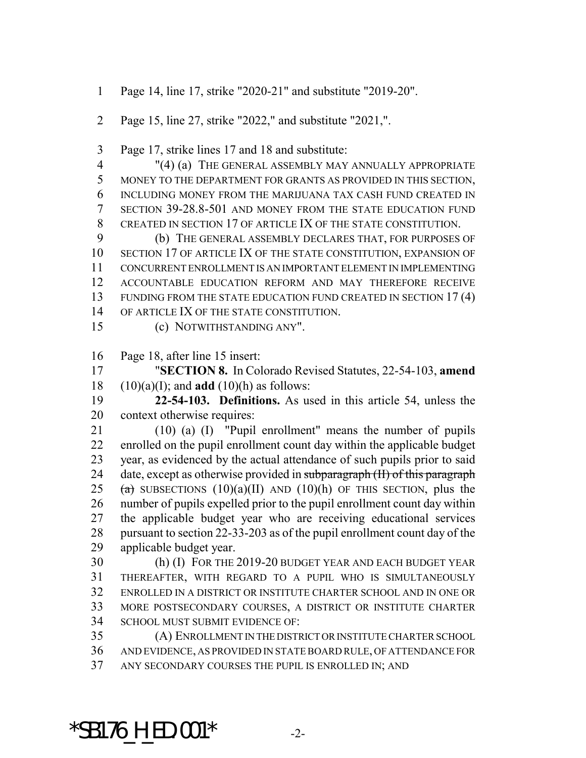- Page 14, line 17, strike "2020-21" and substitute "2019-20".
- Page 15, line 27, strike "2022," and substitute "2021,".
- Page 17, strike lines 17 and 18 and substitute:
- "(4) (a) THE GENERAL ASSEMBLY MAY ANNUALLY APPROPRIATE MONEY TO THE DEPARTMENT FOR GRANTS AS PROVIDED IN THIS SECTION, INCLUDING MONEY FROM THE MARIJUANA TAX CASH FUND CREATED IN SECTION 39-28.8-501 AND MONEY FROM THE STATE EDUCATION FUND CREATED IN SECTION 17 OF ARTICLE IX OF THE STATE CONSTITUTION.

 (b) THE GENERAL ASSEMBLY DECLARES THAT, FOR PURPOSES OF SECTION 17 OF ARTICLE IX OF THE STATE CONSTITUTION, EXPANSION OF CONCURRENT ENROLLMENT IS AN IMPORTANT ELEMENT IN IMPLEMENTING ACCOUNTABLE EDUCATION REFORM AND MAY THEREFORE RECEIVE 13 FUNDING FROM THE STATE EDUCATION FUND CREATED IN SECTION 17(4) OF ARTICLE IX OF THE STATE CONSTITUTION.

(c) NOTWITHSTANDING ANY".

Page 18, after line 15 insert:

 "**SECTION 8.** In Colorado Revised Statutes, 22-54-103, **amend** (10)(a)(I); and **add** (10)(h) as follows:

 **22-54-103. Definitions.** As used in this article 54, unless the context otherwise requires:

 (10) (a) (I) "Pupil enrollment" means the number of pupils enrolled on the pupil enrollment count day within the applicable budget year, as evidenced by the actual attendance of such pupils prior to said 24 date, except as otherwise provided in subparagraph (II) of this paragraph 25 (a) SUBSECTIONS (10)(a)(II) AND (10)(h) OF THIS SECTION, plus the number of pupils expelled prior to the pupil enrollment count day within the applicable budget year who are receiving educational services pursuant to section 22-33-203 as of the pupil enrollment count day of the applicable budget year.

 (h) (I) FOR THE 2019-20 BUDGET YEAR AND EACH BUDGET YEAR THEREAFTER, WITH REGARD TO A PUPIL WHO IS SIMULTANEOUSLY ENROLLED IN A DISTRICT OR INSTITUTE CHARTER SCHOOL AND IN ONE OR MORE POSTSECONDARY COURSES, A DISTRICT OR INSTITUTE CHARTER SCHOOL MUST SUBMIT EVIDENCE OF:

 (A) ENROLLMENT IN THE DISTRICT OR INSTITUTE CHARTER SCHOOL AND EVIDENCE, AS PROVIDED IN STATE BOARD RULE, OF ATTENDANCE FOR ANY SECONDARY COURSES THE PUPIL IS ENROLLED IN; AND

 $*$ SB176 H ED.001 $*$  -2-